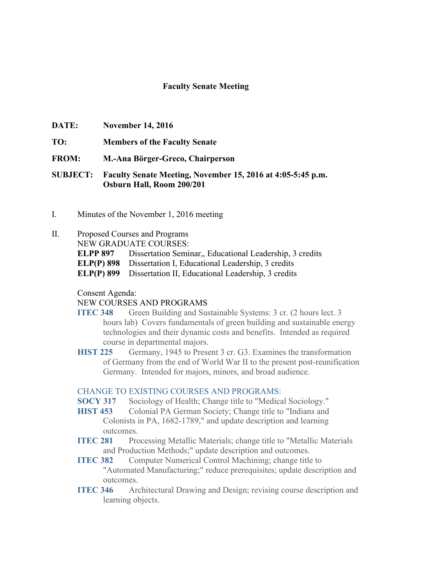## **Faculty Senate Meeting**

- **DATE: November 14, 2016**
- **TO: Members of the Faculty Senate**
- **FROM: M.-Ana Börger-Greco, Chairperson**

**SUBJECT: Faculty Senate Meeting, November 15, 2016 at 4:05-5:45 p.m. Osburn Hall, Room 200/201**

- I. Minutes of the November 1, 2016 meeting
- II. Proposed Courses and Programs

NEW GRADUATE COURSES:

**ELPP 897** Dissertation Seminar,, Educational Leadership, 3 credits

**ELP(P) 898** Dissertation I, Educational Leadership, 3 credits

**ELP(P) 899** Dissertation II, Educational Leadership, 3 credits

## Consent Agenda:

## NEW COURSES AND PROGRAMS

- **ITEC 348** Green Building and Sustainable Systems: 3 cr. (2 hours lect. 3 hours lab) Covers fundamentals of green building and sustainable energy technologies and their dynamic costs and benefits. Intended as required course in departmental majors.
- **HIST 225** Germany, 1945 to Present 3 cr. G3. Examines the transformation of Germany from the end of World War II to the present post-reunification Germany. Intended for majors, minors, and broad audience.

## CHANGE TO EXISTING COURSES AND PROGRAMS:

- **SOCY 317** Sociology of Health; Change title to "Medical Sociology."
- **HIST 453** Colonial PA German Society; Change title to "Indians and Colonists in PA, 1682-1789," and update description and learning outcomes.
- **ITEC 281** Processing Metallic Materials; change title to "Metallic Materials" and Production Methods;" update description and outcomes.
- **ITEC 382** Computer Numerical Control Machining; change title to "Automated Manufacturing;" reduce prerequisites; update description and outcomes.
- **ITEC 346** Architectural Drawing and Design; revising course description and learning objects.